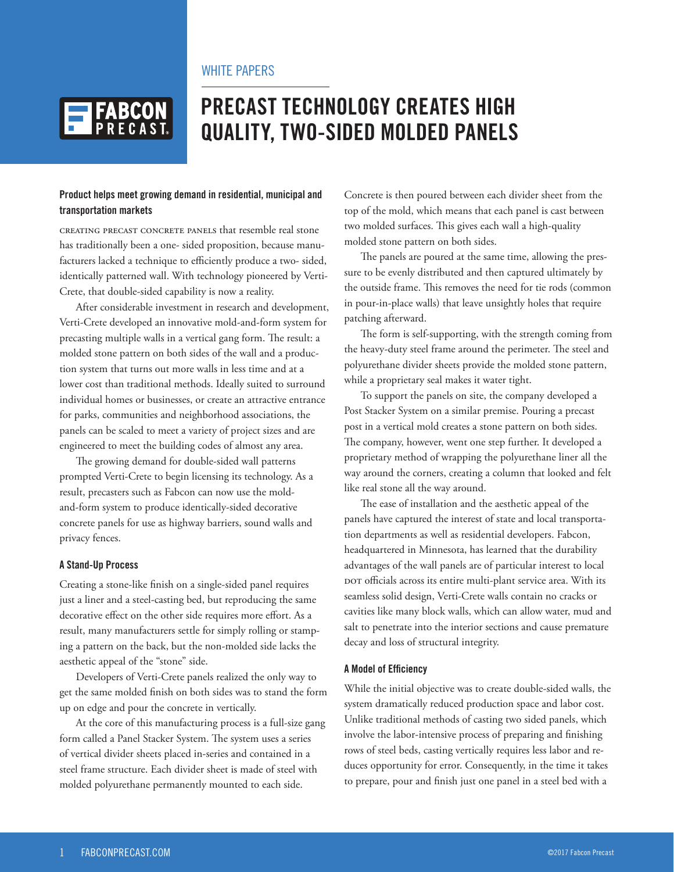## WHITE PAPERS



# **PRECAST TECHNOLOGY CREATES HIGH QUALITY, TWO-SIDED MOLDED PANELS**

#### **Product helps meet growing demand in residential, municipal and transportation markets**

Creating precast concrete panels that resemble real stone has traditionally been a one- sided proposition, because manufacturers lacked a technique to efficiently produce a two- sided, identically patterned wall. With technology pioneered by Verti-Crete, that double-sided capability is now a reality.

After considerable investment in research and development, Verti-Crete developed an innovative mold-and-form system for precasting multiple walls in a vertical gang form. The result: a molded stone pattern on both sides of the wall and a production system that turns out more walls in less time and at a lower cost than traditional methods. Ideally suited to surround individual homes or businesses, or create an attractive entrance for parks, communities and neighborhood associations, the panels can be scaled to meet a variety of project sizes and are engineered to meet the building codes of almost any area.

The growing demand for double-sided wall patterns prompted Verti-Crete to begin licensing its technology. As a result, precasters such as Fabcon can now use the moldand-form system to produce identically-sided decorative concrete panels for use as highway barriers, sound walls and privacy fences.

#### **A Stand-Up Process**

Creating a stone-like finish on a single-sided panel requires just a liner and a steel-casting bed, but reproducing the same decorative effect on the other side requires more effort. As a result, many manufacturers settle for simply rolling or stamping a pattern on the back, but the non-molded side lacks the aesthetic appeal of the "stone" side.

Developers of Verti-Crete panels realized the only way to get the same molded finish on both sides was to stand the form up on edge and pour the concrete in vertically.

At the core of this manufacturing process is a full-size gang form called a Panel Stacker System. The system uses a series of vertical divider sheets placed in-series and contained in a steel frame structure. Each divider sheet is made of steel with molded polyurethane permanently mounted to each side.

Concrete is then poured between each divider sheet from the top of the mold, which means that each panel is cast between two molded surfaces. This gives each wall a high-quality molded stone pattern on both sides.

The panels are poured at the same time, allowing the pressure to be evenly distributed and then captured ultimately by the outside frame. This removes the need for tie rods (common in pour-in-place walls) that leave unsightly holes that require patching afterward.

The form is self-supporting, with the strength coming from the heavy-duty steel frame around the perimeter. The steel and polyurethane divider sheets provide the molded stone pattern, while a proprietary seal makes it water tight.

To support the panels on site, the company developed a Post Stacker System on a similar premise. Pouring a precast post in a vertical mold creates a stone pattern on both sides. The company, however, went one step further. It developed a proprietary method of wrapping the polyurethane liner all the way around the corners, creating a column that looked and felt like real stone all the way around.

The ease of installation and the aesthetic appeal of the panels have captured the interest of state and local transportation departments as well as residential developers. Fabcon, headquartered in Minnesota, has learned that the durability advantages of the wall panels are of particular interest to local DOT officials across its entire multi-plant service area. With its seamless solid design, Verti-Crete walls contain no cracks or cavities like many block walls, which can allow water, mud and salt to penetrate into the interior sections and cause premature decay and loss of structural integrity.

#### **A Model of Efficiency**

While the initial objective was to create double-sided walls, the system dramatically reduced production space and labor cost. Unlike traditional methods of casting two sided panels, which involve the labor-intensive process of preparing and finishing rows of steel beds, casting vertically requires less labor and reduces opportunity for error. Consequently, in the time it takes to prepare, pour and finish just one panel in a steel bed with a